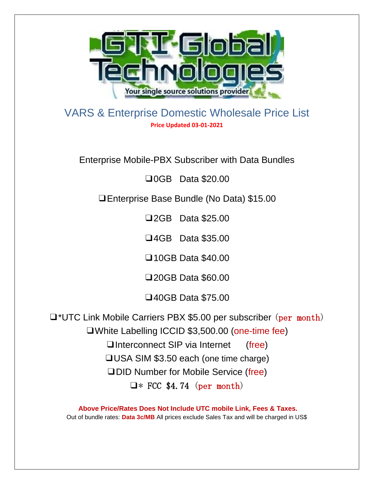

VARS & Enterprise Domestic Wholesale Price List **Price Updated 03-01-2021**

Enterprise Mobile-PBX Subscriber with Data Bundles

❑0GB Data \$20.00

❑Enterprise Base Bundle (No Data) \$15.00

❑2GB Data \$25.00

❑4GB Data \$35.00

❑10GB Data \$40.00

❑20GB Data \$60.00

❑40GB Data \$75.00

❑\*UTC Link Mobile Carriers PBX \$5.00 per subscriber (per month) ❑White Labelling ICCID \$3,500.00 (one-time fee) □Interconnect SIP via Internet (free) ❑USA SIM \$3.50 each (one time charge) ❑DID Number for Mobile Service (free)  $\Box$ \* FCC \$4.74 (per month)

**Above Price/Rates Does Not Include UTC mobile Link, Fees & Taxes.** Out of bundle rates: **Data 3c/MB** All prices exclude Sales Tax and will be charged in US\$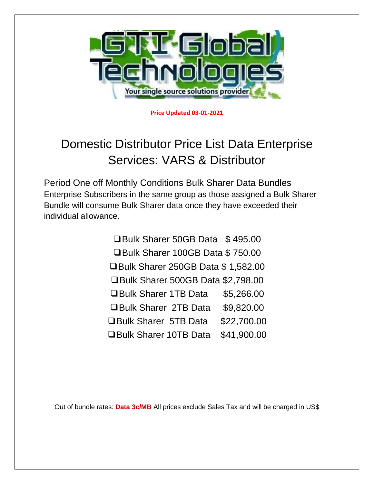

**Price Updated 03-01-2021**

## Domestic Distributor Price List Data Enterprise Services: VARS & Distributor

Period One off Monthly Conditions Bulk Sharer Data Bundles Enterprise Subscribers in the same group as those assigned a Bulk Sharer Bundle will consume Bulk Sharer data once they have exceeded their individual allowance.

> ❑Bulk Sharer 50GB Data \$ 495.00 ❑Bulk Sharer 100GB Data \$ 750.00 ❑Bulk Sharer 250GB Data \$ 1,582.00 ❑Bulk Sharer 500GB Data \$2,798.00 ❑Bulk Sharer 1TB Data \$5,266.00 ❑Bulk Sharer 2TB Data \$9,820.00 ❑Bulk Sharer 5TB Data \$22,700.00 ❑Bulk Sharer 10TB Data \$41,900.00

Out of bundle rates: **Data 3c/MB** All prices exclude Sales Tax and will be charged in US\$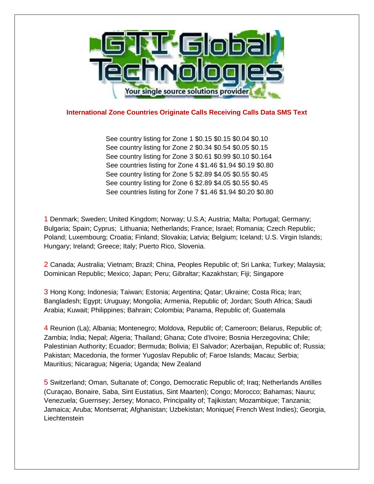

## **International Zone Countries Originate Calls Receiving Calls Data SMS Text**

See country listing for Zone 1 \$0.15 \$0.15 \$0.04 \$0.10 See country listing for Zone 2 \$0.34 \$0.54 \$0.05 \$0.15 See country listing for Zone 3 \$0.61 \$0.99 \$0.10 \$0.164 See countries listing for Zone 4 \$1.46 \$1.94 \$0.19 \$0.80 See country listing for Zone 5 \$2.89 \$4.05 \$0.55 \$0.45 See country listing for Zone 6 \$2.89 \$4.05 \$0.55 \$0.45 See countries listing for Zone 7 \$1.46 \$1.94 \$0.20 \$0.80

1 Denmark; Sweden; United Kingdom; Norway; U.S.A; Austria; Malta; Portugal; Germany; Bulgaria; Spain; Cyprus; Lithuania; Netherlands; France; Israel; Romania; Czech Republic; Poland; Luxembourg; Croatia; Finland; Slovakia; Latvia; Belgium; Iceland; U.S. Virgin Islands; Hungary; Ireland; Greece; Italy; Puerto Rico, Slovenia.

2 Canada; Australia; Vietnam; Brazil; China, Peoples Republic of; Sri Lanka; Turkey; Malaysia; Dominican Republic; Mexico; Japan; Peru; Gibraltar; Kazakhstan; Fiji; Singapore

3 Hong Kong; Indonesia; Taiwan; Estonia; Argentina; Qatar; Ukraine; Costa Rica; Iran; Bangladesh; Egypt; Uruguay; Mongolia; Armenia, Republic of; Jordan; South Africa; Saudi Arabia; Kuwait; Philippines; Bahrain; Colombia; Panama, Republic of; Guatemala

4 Reunion (La); Albania; Montenegro; Moldova, Republic of; Cameroon; Belarus, Republic of; Zambia; India; Nepal; Algeria; Thailand; Ghana; Cote d'Ivoire; Bosnia Herzegovina; Chile; Palestinian Authority; Ecuador; Bermuda; Bolivia; El Salvador; Azerbaijan, Republic of; Russia; Pakistan; Macedonia, the former Yugoslav Republic of; Faroe Islands; Macau; Serbia; Mauritius; Nicaragua; Nigeria; Uganda; New Zealand

5 Switzerland; Oman, Sultanate of; Congo, Democratic Republic of; Iraq; Netherlands Antilles (Curaçao, Bonaire, Saba, Sint Eustatius, Sint Maarten); Congo; Morocco; Bahamas; Nauru; Venezuela; Guernsey; Jersey; Monaco, Principality of; Tajikistan; Mozambique; Tanzania; Jamaica; Aruba; Montserrat; Afghanistan; Uzbekistan; Monique( French West Indies); Georgia, **Liechtenstein**